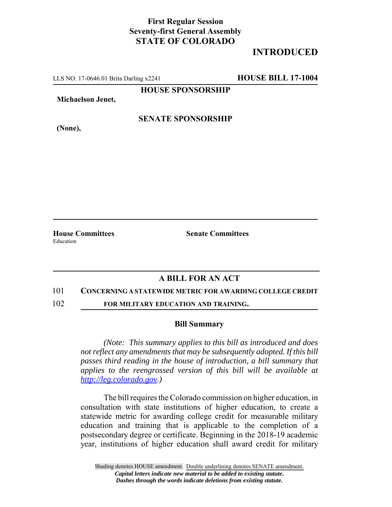## **First Regular Session Seventy-first General Assembly STATE OF COLORADO**

# **INTRODUCED**

LLS NO. 17-0646.01 Brita Darling x2241 **HOUSE BILL 17-1004**

**HOUSE SPONSORSHIP**

**Michaelson Jenet,**

**(None),**

## **SENATE SPONSORSHIP**

Education

**House Committees Senate Committees** 

### **A BILL FOR AN ACT**

#### 101 **CONCERNING A STATEWIDE METRIC FOR AWARDING COLLEGE CREDIT**

102 **FOR MILITARY EDUCATION AND TRAINING.**

#### **Bill Summary**

*(Note: This summary applies to this bill as introduced and does not reflect any amendments that may be subsequently adopted. If this bill passes third reading in the house of introduction, a bill summary that applies to the reengrossed version of this bill will be available at http://leg.colorado.gov.)*

The bill requires the Colorado commission on higher education, in consultation with state institutions of higher education, to create a statewide metric for awarding college credit for measurable military education and training that is applicable to the completion of a postsecondary degree or certificate. Beginning in the 2018-19 academic year, institutions of higher education shall award credit for military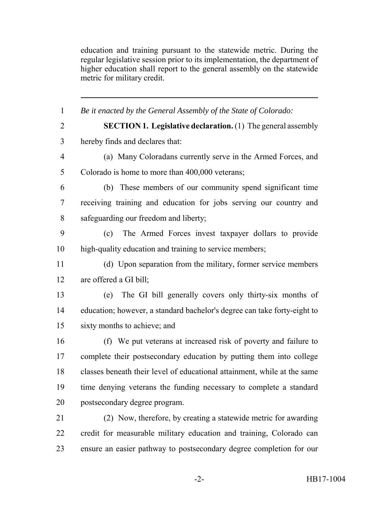education and training pursuant to the statewide metric. During the regular legislative session prior to its implementation, the department of higher education shall report to the general assembly on the statewide metric for military credit.

 *Be it enacted by the General Assembly of the State of Colorado:* **SECTION 1. Legislative declaration.** (1) The general assembly hereby finds and declares that: (a) Many Coloradans currently serve in the Armed Forces, and Colorado is home to more than 400,000 veterans; (b) These members of our community spend significant time receiving training and education for jobs serving our country and safeguarding our freedom and liberty; (c) The Armed Forces invest taxpayer dollars to provide high-quality education and training to service members; (d) Upon separation from the military, former service members are offered a GI bill; (e) The GI bill generally covers only thirty-six months of education; however, a standard bachelor's degree can take forty-eight to sixty months to achieve; and (f) We put veterans at increased risk of poverty and failure to complete their postsecondary education by putting them into college classes beneath their level of educational attainment, while at the same time denying veterans the funding necessary to complete a standard postsecondary degree program. (2) Now, therefore, by creating a statewide metric for awarding credit for measurable military education and training, Colorado can ensure an easier pathway to postsecondary degree completion for our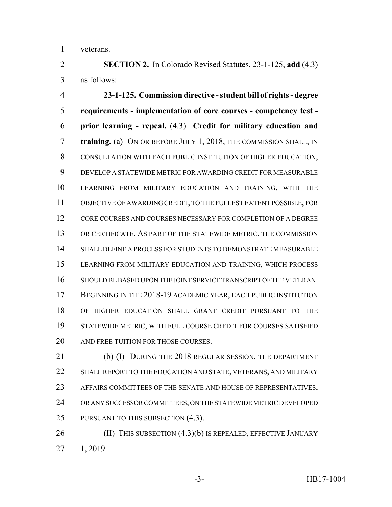veterans.

 **SECTION 2.** In Colorado Revised Statutes, 23-1-125, **add** (4.3) as follows:

 **23-1-125. Commission directive - student bill of rights - degree requirements - implementation of core courses - competency test - prior learning - repeal.** (4.3) **Credit for military education and training.** (a) ON OR BEFORE JULY 1, 2018, THE COMMISSION SHALL, IN CONSULTATION WITH EACH PUBLIC INSTITUTION OF HIGHER EDUCATION, DEVELOP A STATEWIDE METRIC FOR AWARDING CREDIT FOR MEASURABLE LEARNING FROM MILITARY EDUCATION AND TRAINING, WITH THE OBJECTIVE OF AWARDING CREDIT, TO THE FULLEST EXTENT POSSIBLE, FOR CORE COURSES AND COURSES NECESSARY FOR COMPLETION OF A DEGREE OR CERTIFICATE. AS PART OF THE STATEWIDE METRIC, THE COMMISSION SHALL DEFINE A PROCESS FOR STUDENTS TO DEMONSTRATE MEASURABLE LEARNING FROM MILITARY EDUCATION AND TRAINING, WHICH PROCESS SHOULD BE BASED UPON THE JOINT SERVICE TRANSCRIPT OF THE VETERAN. 17 BEGINNING IN THE 2018-19 ACADEMIC YEAR, EACH PUBLIC INSTITUTION OF HIGHER EDUCATION SHALL GRANT CREDIT PURSUANT TO THE STATEWIDE METRIC, WITH FULL COURSE CREDIT FOR COURSES SATISFIED 20 AND FREE TUITION FOR THOSE COURSES.

 (b) (I) DURING THE 2018 REGULAR SESSION, THE DEPARTMENT SHALL REPORT TO THE EDUCATION AND STATE, VETERANS, AND MILITARY AFFAIRS COMMITTEES OF THE SENATE AND HOUSE OF REPRESENTATIVES, OR ANY SUCCESSOR COMMITTEES, ON THE STATEWIDE METRIC DEVELOPED 25 PURSUANT TO THIS SUBSECTION (4.3).

**(II) THIS SUBSECTION (4.3)(b) IS REPEALED, EFFECTIVE JANUARY** 1, 2019.